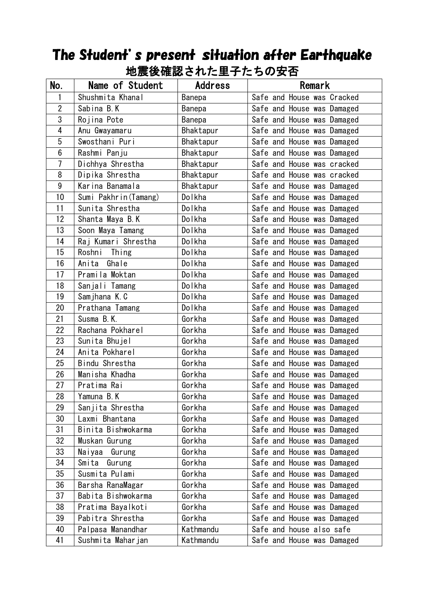| 地辰攸征祕Cイレに王丁にりW乆白 |                       |           |                            |  |
|------------------|-----------------------|-----------|----------------------------|--|
| No.              | Name of Student       | Address   | Remark                     |  |
| 1                | Shushmita Khanal      | Banepa    | Safe and House was Cracked |  |
| $\overline{2}$   | Sabina B.K            | Banepa    | Safe and House was Damaged |  |
| 3                | Rojina Pote           | Banepa    | Safe and House was Damaged |  |
| $\overline{4}$   | Anu Gwayamaru         | Bhaktapur | Safe and House was Damaged |  |
| 5                | Swosthani Puri        | Bhaktapur | Safe and House was Damaged |  |
| 6                | Rashmi Panju          | Bhaktapur | Safe and House was Damaged |  |
| $\overline{1}$   | Dichhya Shrestha      | Bhaktapur | Safe and House was cracked |  |
| 8                | Dipika Shrestha       | Bhaktapur | Safe and House was cracked |  |
| $\boldsymbol{9}$ | Karina Banamala       | Bhaktapur | Safe and House was Damaged |  |
| 10               | Sumi Pakhrin (Tamang) | Dolkha    | Safe and House was Damaged |  |
| 11               | Sunita Shrestha       | Dolkha    | Safe and House was Damaged |  |
| 12               | Shanta Maya B.K       | Dolkha    | Safe and House was Damaged |  |
| 13               | Soon Maya Tamang      | Dolkha    | Safe and House was Damaged |  |
| 14               | Raj Kumari Shrestha   | Dolkha    | Safe and House was Damaged |  |
| 15               | Roshni Thing          | Dolkha    | Safe and House was Damaged |  |
| 16               | Anita Ghale           | Dolkha    | Safe and House was Damaged |  |
| 17               | Pramila Moktan        | Dolkha    | Safe and House was Damaged |  |
| 18               | Sanjali Tamang        | Dolkha    | Safe and House was Damaged |  |
| 19               | Samjhana K.C          | Dolkha    | Safe and House was Damaged |  |
| 20               | Prathana Tamang       | Dolkha    | Safe and House was Damaged |  |
| 21               | Susma B.K.            | Gorkha    | Safe and House was Damaged |  |
| 22               | Rachana Pokharel      | Gorkha    | Safe and House was Damaged |  |
| 23               | Sunita Bhujel         | Gorkha    | Safe and House was Damaged |  |
| 24               | Anita Pokharel        | Gorkha    | Safe and House was Damaged |  |
| 25               | Bindu Shrestha        | Gorkha    | Safe and House was Damaged |  |
| 26               | Manisha Khadha        | Gorkha    | Safe and House was Damaged |  |
| 27               | Pratima Rai           | Gorkha    | Safe and House was Damaged |  |
| 28               | Yamuna B.K            | Gorkha    | Safe and House was Damaged |  |
| 29               | Sanjita Shrestha      | Gorkha    | Safe and House was Damaged |  |
| 30               | Laxmi Bhantana        | Gorkha    | Safe and House was Damaged |  |
| 31               | Binita Bishwokarma    | Gorkha    | Safe and House was Damaged |  |
| 32               | Muskan Gurung         | Gorkha    | Safe and House was Damaged |  |
| 33               | Naiyaa<br>Gurung      | Gorkha    | Safe and House was Damaged |  |
| 34               | Smita<br>Gurung       | Gorkha    | Safe and House was Damaged |  |
| 35               | Susmita Pulami        | Gorkha    | Safe and House was Damaged |  |
| 36               | Barsha RanaMagar      | Gorkha    | Safe and House was Damaged |  |
| 37               | Babita Bishwokarma    | Gorkha    | Safe and House was Damaged |  |
| 38               | Pratima Bayalkoti     | Gorkha    | Safe and House was Damaged |  |
| 39               | Pabitra Shrestha      | Gorkha    | Safe and House was Damaged |  |
| 40               | Palpasa Manandhar     | Kathmandu | Safe and house also safe   |  |
| 41               | Sushmita Maharjan     | Kathmandu | Safe and House was Damaged |  |

## The Student's present situation after Earthquake ー<br>地電络<u>陸認された</u>田スたちの史不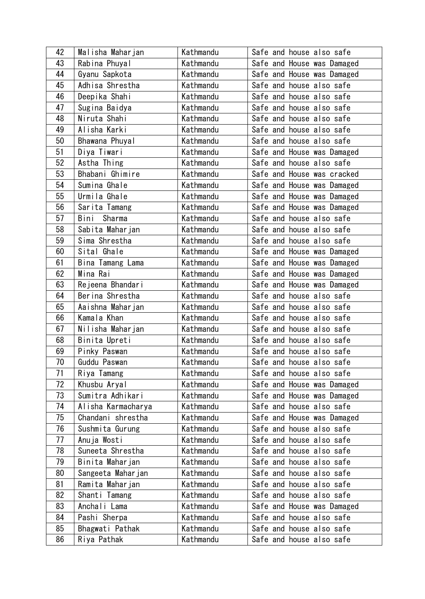| 42 | Malisha Maharjan   | Kathmandu | Safe and house also safe   |
|----|--------------------|-----------|----------------------------|
| 43 | Rabina Phuyal      | Kathmandu | Safe and House was Damaged |
| 44 | Gyanu Sapkota      | Kathmandu | Safe and House was Damaged |
| 45 | Adhisa Shrestha    | Kathmandu | Safe and house also safe   |
| 46 | Deepika Shahi      | Kathmandu | Safe and house also safe   |
| 47 | Sugina Baidya      | Kathmandu | Safe and house also safe   |
| 48 | Niruta Shahi       | Kathmandu | Safe and house also safe   |
| 49 | Alisha Karki       | Kathmandu | Safe and house also safe   |
| 50 | Bhawana Phuyal     | Kathmandu | Safe and house also safe   |
| 51 | Diya Tiwari        | Kathmandu | Safe and House was Damaged |
| 52 | Astha Thing        | Kathmandu | Safe and house also safe   |
| 53 | Bhabani Ghimire    | Kathmandu | Safe and House was cracked |
| 54 | Sumina Ghale       | Kathmandu | Safe and House was Damaged |
| 55 | Urmila Ghale       | Kathmandu | Safe and House was Damaged |
| 56 | Sarita Tamang      | Kathmandu | Safe and House was Damaged |
| 57 | Bini<br>Sharma     | Kathmandu | Safe and house also safe   |
| 58 | Sabita Maharjan    | Kathmandu | Safe and house also safe   |
| 59 | Sima Shrestha      | Kathmandu | Safe and house also safe   |
| 60 | Sital Ghale        | Kathmandu | Safe and House was Damaged |
| 61 | Bina Tamang Lama   | Kathmandu | Safe and House was Damaged |
| 62 | Mina Rai           | Kathmandu | Safe and House was Damaged |
| 63 | Rejeena Bhandari   | Kathmandu | Safe and House was Damaged |
| 64 | Berina Shrestha    | Kathmandu | Safe and house also safe   |
| 65 | Aaishna Maharjan   | Kathmandu | Safe and house also safe   |
| 66 | Kamala Khan        | Kathmandu | Safe and house also safe   |
| 67 | Nilisha Maharjan   | Kathmandu | Safe and house also safe   |
| 68 | Binita Upreti      | Kathmandu | Safe and house also safe   |
| 69 | Pinky Paswan       | Kathmandu | Safe and house also safe   |
| 70 | Guddu Paswan       | Kathmandu | Safe and house also safe   |
| 71 | Riya Tamang        | Kathmandu | Safe and house also safe   |
| 72 | Khusbu Aryal       | Kathmandu | Safe and House was Damaged |
| 73 | Sumitra Adhikari   | Kathmandu | Safe and House was Damaged |
| 74 | Alisha Karmacharya | Kathmandu | Safe and house also safe   |
| 75 | Chandani shrestha  | Kathmandu | Safe and House was Damaged |
| 76 | Sushmita Gurung    | Kathmandu | Safe and house also safe   |
| 77 | Anuja Wosti        | Kathmandu | Safe and house also safe   |
| 78 | Suneeta Shrestha   | Kathmandu | Safe and house also safe   |
| 79 | Binita Maharjan    | Kathmandu | Safe and house also safe   |
| 80 | Sangeeta Maharjan  | Kathmandu | Safe and house also safe   |
| 81 | Ramita Maharjan    | Kathmandu | Safe and house also safe   |
| 82 | Shanti Tamang      | Kathmandu | Safe and house also safe   |
| 83 | Anchali Lama       | Kathmandu | Safe and House was Damaged |
| 84 | Pashi Sherpa       | Kathmandu | Safe and house also safe   |
| 85 | Bhagwati Pathak    | Kathmandu | Safe and house also safe   |
| 86 | Riya Pathak        | Kathmandu | Safe and house also safe   |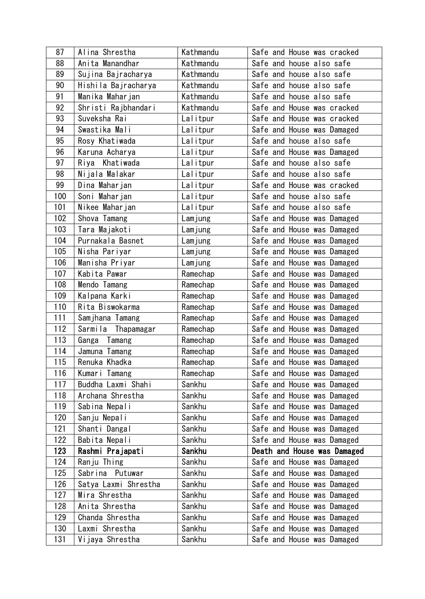| 87  | Alina Shrestha       | Kathmandu | Safe and House was cracked  |
|-----|----------------------|-----------|-----------------------------|
| 88  | Anita Manandhar      | Kathmandu | Safe and house also safe    |
| 89  | Sujina Bajracharya   | Kathmandu | Safe and house also safe    |
| 90  | Hishila Bajracharya  | Kathmandu | Safe and house also safe    |
| 91  | Manika Maharjan      | Kathmandu | Safe and house also safe    |
| 92  | Shristi Rajbhandari  | Kathmandu | Safe and House was cracked  |
| 93  | Suveksha Rai         | Lalitpur  | Safe and House was cracked  |
| 94  | Swastika Mali        | Lalitpur  | Safe and House was Damaged  |
| 95  | Rosy Khatiwada       | Lalitpur  | Safe and house also safe    |
| 96  | Karuna Acharya       | Lalitpur  | Safe and House was Damaged  |
| 97  | Riya Khatiwada       | Lalitpur  | Safe and house also safe    |
| 98  | Nijala Malakar       | Lalitpur  | Safe and house also safe    |
| 99  | Dina Maharjan        | Lalitpur  | Safe and House was cracked  |
| 100 | Soni Maharjan        | Lalitpur  | Safe and house also safe    |
| 101 | Nikee Maharjan       | Lalitpur  | Safe and house also safe    |
| 102 | Shova Tamang         | Lamjung   | Safe and House was Damaged  |
| 103 | Tara Majakoti        | Lamjung   | Safe and House was Damaged  |
| 104 | Purnakala Basnet     | Lamjung   | Safe and House was Damaged  |
| 105 | Nisha Pariyar        | Lamjung   | Safe and House was Damaged  |
| 106 | Manisha Priyar       | Lamjung   | Safe and House was Damaged  |
| 107 | Kabita Pawar         | Ramechap  | Safe and House was Damaged  |
| 108 | Mendo Tamang         | Ramechap  | Safe and House was Damaged  |
| 109 | Kalpana Karki        | Ramechap  | Safe and House was Damaged  |
| 110 | Rita Biswokarma      | Ramechap  | Safe and House was Damaged  |
| 111 | Samjhana Tamang      | Ramechap  | Safe and House was Damaged  |
| 112 | Sarmila Thapamagar   | Ramechap  | Safe and House was Damaged  |
| 113 | Ganga Tamang         | Ramechap  | Safe and House was Damaged  |
| 114 | Jamuna Tamang        | Ramechap  | Safe and House was Damaged  |
| 115 | Renuka Khadka        | Ramechap  | Safe and House was Damaged  |
| 116 | Kumari Tamang        | Ramechap  | Safe and House was Damaged  |
| 117 | Buddha Laxmi Shahi   | Sankhu    | Safe and House was Damaged  |
| 118 | Archana Shrestha     | Sankhu    | Safe and House was Damaged  |
| 119 | Sabina Nepali        | Sankhu    | Safe and House was Damaged  |
| 120 | Sanju Nepali         | Sankhu    | Safe and House was Damaged  |
| 121 | Shanti Dangal        | Sankhu    | Safe and House was Damaged  |
| 122 | Babita Nepali        | Sankhu    | Safe and House was Damaged  |
| 123 | Rashmi Prajapati     | Sankhu    | Death and House was Damaged |
| 124 | Ranju Thing          | Sankhu    | Safe and House was Damaged  |
| 125 | Sabrina Putuwar      | Sankhu    | Safe and House was Damaged  |
| 126 | Satya Laxmi Shrestha | Sankhu    | Safe and House was Damaged  |
| 127 | Mira Shrestha        | Sankhu    | Safe and House was Damaged  |
| 128 | Anita Shrestha       | Sankhu    | Safe and House was Damaged  |
| 129 | Chanda Shrestha      | Sankhu    | Safe and House was Damaged  |
| 130 | Laxmi Shrestha       | Sankhu    | Safe and House was Damaged  |
| 131 | Vijaya Shrestha      | Sankhu    | Safe and House was Damaged  |